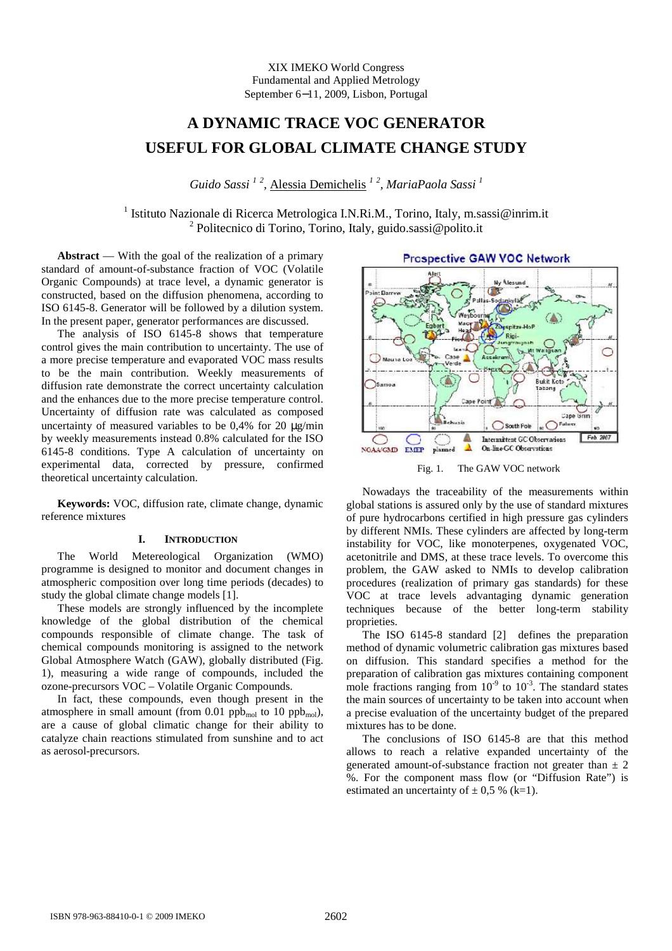XIX IMEKO World Congress Fundamental and Applied Metrology September 6−11, 2009, Lisbon, Portugal

# **A DYNAMIC TRACE VOC GENERATOR USEFUL FOR GLOBAL CLIMATE CHANGE STUDY**

*Guido Sassi <sup>1</sup> <sup>2</sup> ,* Alessia Demichelis *<sup>1</sup> <sup>2</sup> , MariaPaola Sassi <sup>1</sup>*

<sup>1</sup> Istituto Nazionale di Ricerca Metrologica I.N.Ri.M., Torino, Italy, m.sassi@inrim.it <sup>2</sup> Politecnico di Torino, Torino, Italy, guido.sassi@polito.it

Abstract — With the goal of the realization of a primary standard of amount-of-substance fraction of VOC (Volatile Organic Compounds) at trace level, a dynamic generator is constructed, based on the diffusion phenomena, according to ISO 6145-8. Generator will be followed by a dilution system. In the present paper, generator performances are discussed.

The analysis of ISO 6145-8 shows that temperature control gives the main contribution to uncertainty. The use of a more precise temperature and evaporated VOC mass results to be the main contribution. Weekly measurements of diffusion rate demonstrate the correct uncertainty calculation and the enhances due to the more precise temperature control. Uncertainty of diffusion rate was calculated as composed uncertainty of measured variables to be  $0.4\%$  for 20  $\mu$ g/min by weekly measurements instead 0.8% calculated for the ISO 6145-8 conditions. Type A calculation of uncertainty on experimental data, corrected by pressure, confirmed theoretical uncertainty calculation.

**Keywords:** VOC, diffusion rate, climate change, dynamic reference mixtures

### **I. INTRODUCTION**

The World Metereological Organization (WMO) programme is designed to monitor and document changes in atmospheric composition over long time periods (decades) to study the global climate change models [1].

These models are strongly influenced by the incomplete knowledge of the global distribution of the chemical compounds responsible of climate change. The task of chemical compounds monitoring is assigned to the network Global Atmosphere Watch (GAW), globally distributed (Fig. 1), measuring a wide range of compounds, included the ozone-precursors VOC – Volatile Organic Compounds.

In fact, these compounds, even though present in the atmosphere in small amount (from 0.01 ppb<sub>mol</sub> to 10 ppb<sub>mol</sub>), are a cause of global climatic change for their ability to catalyze chain reactions stimulated from sunshine and to act as aerosol-precursors.



Fig. 1. The GAW VOC network

Nowadays the traceability of the measurements within global stations is assured only by the use of standard mixtures of pure hydrocarbons certified in high pressure gas cylinders by different NMIs. These cylinders are affected by long-term instability for VOC, like monoterpenes, oxygenated VOC, acetonitrile and DMS, at these trace levels. To overcome this problem, the GAW asked to NMIs to develop calibration procedures (realization of primary gas standards) for these VOC at trace levels advantaging dynamic generation techniques because of the better long-term stability proprieties.

The ISO 6145-8 standard [2] defines the preparation method of dynamic volumetric calibration gas mixtures based on diffusion. This standard specifies a method for the preparation of calibration gas mixtures containing component mole fractions ranging from  $10^{-9}$  to  $10^{-3}$ . The standard states the main sources of uncertainty to be taken into account when a precise evaluation of the uncertainty budget of the prepared mixtures has to be done.

The conclusions of ISO 6145-8 are that this method allows to reach a relative expanded uncertainty of the generated amount-of-substance fraction not greater than  $\pm$  2 %. For the component mass flow (or "Diffusion Rate") is estimated an uncertainty of  $\pm$  0,5 % (k=1).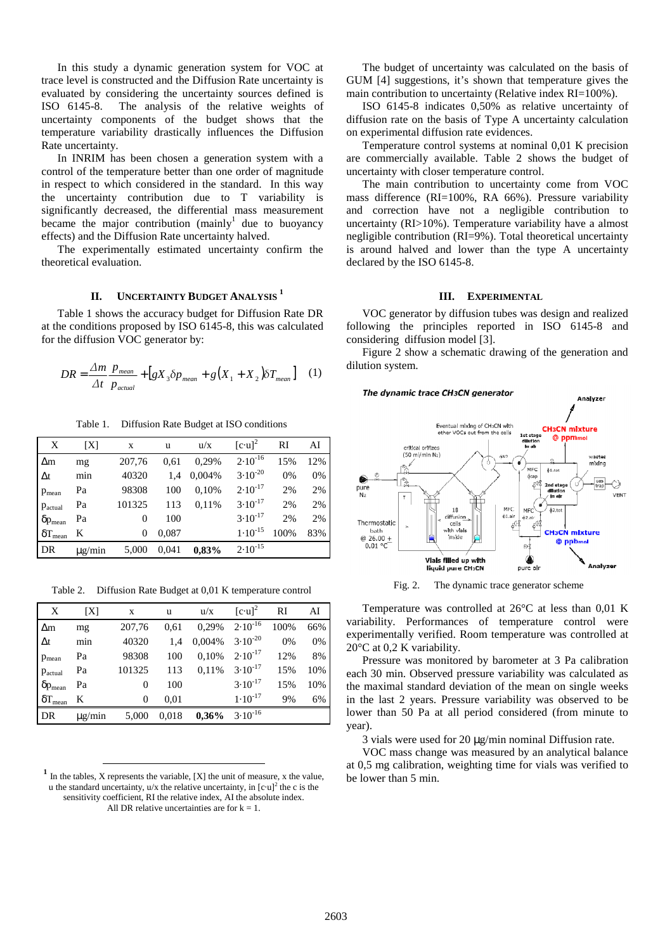In this study a dynamic generation system for VOC at trace level is constructed and the Diffusion Rate uncertainty is evaluated by considering the uncertainty sources defined is ISO 6145-8. The analysis of the relative weights of uncertainty components of the budget shows that the temperature variability drastically influences the Diffusion Rate uncertainty.

In INRIM has been chosen a generation system with a control of the temperature better than one order of magnitude in respect to which considered in the standard. In this way the uncertainty contribution due to T variability is significantly decreased, the differential mass measurement became the major contribution  $(mainly<sup>1</sup>]$  due to buoyancy effects) and the Diffusion Rate uncertainty halved.

The experimentally estimated uncertainty confirm the theoretical evaluation.

## **II. UNCERTAINTY BUDGET ANALYSIS <sup>1</sup>**

Table 1 shows the accuracy budget for Diffusion Rate DR at the conditions proposed by ISO 6145-8, this was calculated for the diffusion VOC generator by:

$$
DR = \frac{\Delta m}{\Delta t} \frac{p_{mean}}{p_{actual}} + \left[gX_3 \delta p_{mean} + g(X_1 + X_2) \delta T_{mean}\right] \quad (1)
$$

Table 1. Diffusion Rate Budget at ISO conditions

| X                       | [X]         | X      | u     | u/x    | $[c\cdot u]^2$ | RI   | AI  |
|-------------------------|-------------|--------|-------|--------|----------------|------|-----|
| $\Delta$ m              | mg          | 207,76 | 0.61  | 0.29%  | $2.10^{-16}$   | 15%  | 12% |
| $\Delta t$              | min         | 40320  | 1.4   | 0,004% | $3.10^{-20}$   | 0%   | 0%  |
| P <sub>mean</sub>       | Pa          | 98308  | 100   | 0.10%  | $2.10^{-17}$   | 2%   | 2%  |
| Pactual                 | Pa          | 101325 | 113   | 0.11%  | $3.10^{-17}$   | 2%   | 2%  |
| $\delta p_{mean}$       | Pa          | 0      | 100   |        | $3.10^{-17}$   | 2%   | 2%  |
| $\delta {\rm T_{mean}}$ | K           | 0      | 0,087 |        | $1.10^{-15}$   | 100% | 83% |
| DR                      | $\mu$ g/min | 5,000  | 0,041 | 0,83%  | $2.10^{-15}$   |      |     |

Table 2. Diffusion Rate Budget at 0,01 K temperature control

| X                        | [X]         | X        | u     | u/x      | $[c\cdot u]^2$ | RI   | AI  |
|--------------------------|-------------|----------|-------|----------|----------------|------|-----|
| $\Delta$ m               | mg          | 207,76   | 0.61  | 0,29%    | $2.10^{-16}$   | 100% | 66% |
| $\Delta t$               | min         | 40320    | 1,4   | 0,004%   | $3.10^{-20}$   | 0%   | 0%  |
| $p_{mean}$               | Pa          | 98308    | 100   | 0,10%    | $2.10^{-17}$   | 12%  | 8%  |
| Pactual                  | Pa          | 101325   | 113   | 0.11%    | $3.10^{-17}$   | 15%  | 10% |
| $\delta p_{\text{mean}}$ | Pa          | 0        | 100   |          | $3.10^{-17}$   | 15%  | 10% |
| $\delta T_{mean}$        | K           | $\Omega$ | 0.01  |          | $1.10^{-17}$   | 9%   | 6%  |
| DR                       | $\mu$ g/min | 5,000    | 0,018 | $0.36\%$ | $3.10^{-16}$   |      |     |

**<sup>1</sup>** In the tables, X represents the variable, [X] the unit of measure, x the value, u the standard uncertainty,  $u/x$  the relative uncertainty, in  $[c \cdot u]^2$  the c is the sensitivity coefficient, RI the relative index, AI the absolute index. All DR relative uncertainties are for  $k = 1$ .

-

The budget of uncertainty was calculated on the basis of GUM [4] suggestions, it's shown that temperature gives the main contribution to uncertainty (Relative index RI=100%).

ISO 6145-8 indicates 0,50% as relative uncertainty of diffusion rate on the basis of Type A uncertainty calculation on experimental diffusion rate evidences.

Temperature control systems at nominal 0,01 K precision are commercially available. Table 2 shows the budget of uncertainty with closer temperature control.

The main contribution to uncertainty come from VOC mass difference (RI=100%, RA 66%). Pressure variability and correction have not a negligible contribution to uncertainty (RI>10%). Temperature variability have a almost negligible contribution (RI=9%). Total theoretical uncertainty is around halved and lower than the type A uncertainty declared by the ISO 6145-8.

#### **III. EXPERIMENTAL**

VOC generator by diffusion tubes was design and realized following the principles reported in ISO 6145-8 and considering diffusion model [3].

Figure 2 show a schematic drawing of the generation and dilution system.



Fig. 2. The dynamic trace generator scheme

Temperature was controlled at 26°C at less than 0,01 K variability. Performances of temperature control were experimentally verified. Room temperature was controlled at 20°C at 0,2 K variability.

Pressure was monitored by barometer at 3 Pa calibration each 30 min. Observed pressure variability was calculated as the maximal standard deviation of the mean on single weeks in the last 2 years. Pressure variability was observed to be lower than 50 Pa at all period considered (from minute to year).

3 vials were used for  $20 \mu g/min$  nominal Diffusion rate.

VOC mass change was measured by an analytical balance at 0,5 mg calibration, weighting time for vials was verified to be lower than 5 min.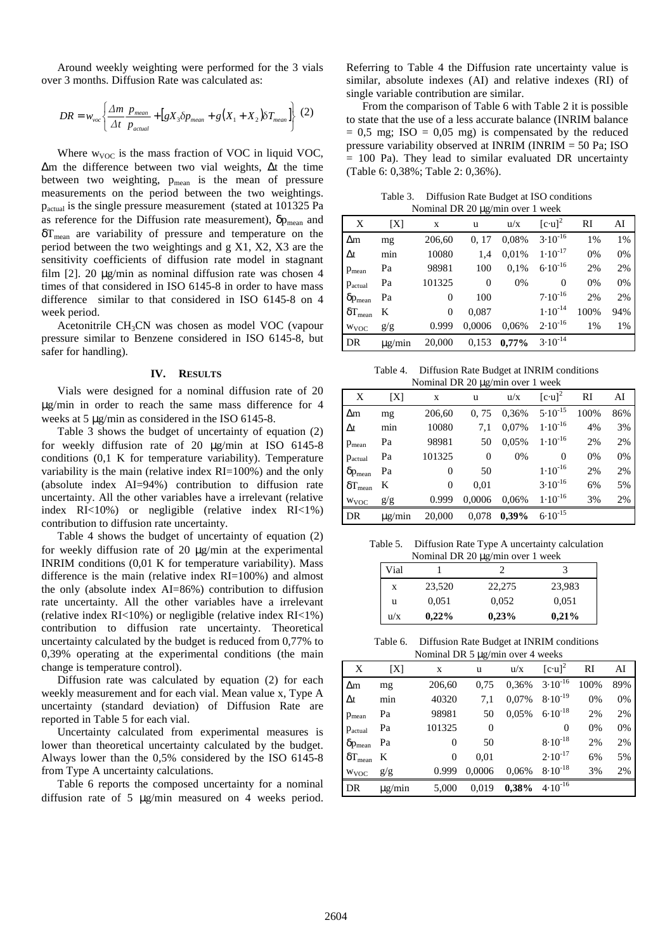Around weekly weighting were performed for the 3 vials over 3 months. Diffusion Rate was calculated as:

$$
DR = w_{\text{vac}} \left\{ \frac{\Delta m}{\Delta t} \frac{p_{\text{mean}}}{p_{\text{actual}}} + \left[ gX_3 \delta p_{\text{mean}} + g(X_1 + X_2) \delta T_{\text{mean}} \right] \right\} (2)
$$

Where  $w_{VOC}$  is the mass fraction of VOC in liquid VOC, ∆m the difference between two vial weights, ∆t the time between two weighting,  $p_{mean}$  is the mean of pressure measurements on the period between the two weightings. pactual is the single pressure measurement (stated at 101325 Pa as reference for the Diffusion rate measurement),  $\delta p_{\text{mean}}$  and  $\delta T_{\text{mean}}$  are variability of pressure and temperature on the period between the two weightings and g X1, X2, X3 are the sensitivity coefficients of diffusion rate model in stagnant film [2]. 20 µg/min as nominal diffusion rate was chosen 4 times of that considered in ISO 6145-8 in order to have mass difference similar to that considered in ISO 6145-8 on 4 week period.

Acetonitrile CH3CN was chosen as model VOC (vapour pressure similar to Benzene considered in ISO 6145-8, but safer for handling).

#### **IV. RESULTS**

Vials were designed for a nominal diffusion rate of 20 µg/min in order to reach the same mass difference for 4 weeks at 5 µg/min as considered in the ISO 6145-8.

Table 3 shows the budget of uncertainty of equation (2) for weekly diffusion rate of 20 µg/min at ISO 6145-8 conditions (0,1 K for temperature variability). Temperature variability is the main (relative index RI=100%) and the only (absolute index AI=94%) contribution to diffusion rate uncertainty. All the other variables have a irrelevant (relative index RI<10%) or negligible (relative index RI<1%) contribution to diffusion rate uncertainty.

Table 4 shows the budget of uncertainty of equation (2) for weekly diffusion rate of 20 µg/min at the experimental INRIM conditions (0,01 K for temperature variability). Mass difference is the main (relative index RI=100%) and almost the only (absolute index AI=86%) contribution to diffusion rate uncertainty. All the other variables have a irrelevant (relative index  $RI < 10\%$ ) or negligible (relative index  $RI < 1\%$ ) contribution to diffusion rate uncertainty. Theoretical uncertainty calculated by the budget is reduced from 0,77% to 0,39% operating at the experimental conditions (the main change is temperature control).

Diffusion rate was calculated by equation (2) for each weekly measurement and for each vial. Mean value x, Type A uncertainty (standard deviation) of Diffusion Rate are reported in Table 5 for each vial.

Uncertainty calculated from experimental measures is lower than theoretical uncertainty calculated by the budget. Always lower than the 0,5% considered by the ISO 6145-8 from Type A uncertainty calculations.

Table 6 reports the composed uncertainty for a nominal diffusion rate of 5 µg/min measured on 4 weeks period.

Referring to Table 4 the Diffusion rate uncertainty value is similar, absolute indexes (AI) and relative indexes (RI) of single variable contribution are similar.

From the comparison of Table 6 with Table 2 it is possible to state that the use of a less accurate balance (INRIM balance  $= 0.5$  mg; ISO  $= 0.05$  mg) is compensated by the reduced pressure variability observed at INRIM (INRIM = 50 Pa; ISO  $= 100$  Pa). They lead to similar evaluated DR uncertainty (Table 6: 0,38%; Table 2: 0,36%).

Table 3. Diffusion Rate Budget at ISO conditions Nominal DR 20 µg/min over 1 week

| X                     | [X]         | X        | u              | u/x      | $[c\cdot u]^2$ | RI    | AI  |
|-----------------------|-------------|----------|----------------|----------|----------------|-------|-----|
| $\Delta$ m            | mg          | 206,60   | 0.17           | 0,08%    | $3.10^{-16}$   | 1%    | 1%  |
| $\Delta t$            | min         | 10080    | 1.4            | 0.01%    | $1.10^{-17}$   | 0%    | 0%  |
| $p_{mean}$            | Pa          | 98981    | 100            | 0.1%     | $6.10^{-16}$   | 2%    | 2%  |
| Pactual               | Pa          | 101325   | $\overline{0}$ | 0%       | $\Omega$       | 0%    | 0%  |
| $\delta p_{\rm mean}$ | Pa          | 0        | 100            |          | $7.10^{-16}$   | 2%    | 2%  |
| $\delta T_{mean}$     | K           | $\Omega$ | 0,087          |          | $1.10^{-14}$   | 100%  | 94% |
| W <sub>VOC</sub>      | g/g         | 0.999    | 0,0006         | 0,06%    | $2.10^{-16}$   | $1\%$ | 1%  |
| DR                    | $\mu$ g/min | 20,000   | 0,153          | $0.77\%$ | $3.10^{-14}$   |       |     |

Table 4. Diffusion Rate Budget at INRIM conditions  $I_{\text{cmin}}$ l DD  $20$   $\mu_{\text{c}}/\mu_{\text{m}}$  over 1 week

|                   |             | <b>INDIFFICATION</b> 20 $\mu$ g/HIIII OVEL 1 WEEK |                |          |                 |           |     |
|-------------------|-------------|---------------------------------------------------|----------------|----------|-----------------|-----------|-----|
| X                 | [X]         | X                                                 | u              | u/x      | $[c \cdot u]^2$ | <b>RI</b> | AI  |
| $\Delta$ m        | mg          | 206,60                                            | 0.75           | 0,36%    | $5.10^{-15}$    | 100%      | 86% |
| $\Delta t$        | min         | 10080                                             | 7.1            | 0,07%    | $1.10^{-16}$    | 4%        | 3%  |
| P <sub>mean</sub> | Pa          | 98981                                             | 50             | 0.05%    | $1.10^{-16}$    | 2%        | 2%  |
| Pactual           | Pa          | 101325                                            | $\overline{0}$ | 0%       | $\theta$        | 0%        | 0%  |
| $\delta p_{mean}$ | Pa          | 0                                                 | 50             |          | $1.10^{-16}$    | 2%        | 2%  |
| $\delta T_{mean}$ | K           | 0                                                 | 0.01           |          | $3.10^{-16}$    | 6%        | 5%  |
| W <sub>VOC</sub>  | g/g         | 0.999                                             | 0,0006         | 0,06%    | $1.10^{-16}$    | 3%        | 2%  |
| DR                | $\mu$ g/min | 20,000                                            | 0,078          | $0.39\%$ | $6.10^{-15}$    |           |     |

Table 5. Diffusion Rate Type A uncertainty calculation Nominal DR 20 µg/min over 1 week

| Vial |          | . .    | 3      |
|------|----------|--------|--------|
| X    | 23,520   | 22,275 | 23,983 |
| u    | 0,051    | 0.052  | 0,051  |
| u/x  | $0,22\%$ | 0,23%  | 0,21%  |

Table 6. Diffusion Rate Budget at INRIM conditions Nominal DR 5 µg/min over 4 weeks

|                       |             | $1$ commun $2K \mathcal{L}$ $\mu_{\rm s}$ mun $0 \vee 1 + \text{wccas}$ |                |       |                |      |     |
|-----------------------|-------------|-------------------------------------------------------------------------|----------------|-------|----------------|------|-----|
| X                     | [X]         | X                                                                       | u              | u/x   | $[c\cdot u]^2$ | RI   | AI  |
| $\Delta$ m            | mg          | 206,60                                                                  | 0.75           | 0.36% | $3.10^{-16}$   | 100% | 89% |
| $\Delta t$            | min         | 40320                                                                   | 7,1            | 0,07% | $8.10^{-19}$   | 0%   | 0%  |
| $p_{mean}$            | Pa          | 98981                                                                   | 50             | 0.05% | $6.10^{-18}$   | 2%   | 2%  |
| Pactual               | Pa          | 101325                                                                  | $\overline{0}$ |       | $\Omega$       | 0%   | 0%  |
| $\delta p_{mean}$     | Pa          | $\Omega$                                                                | 50             |       | $8.10^{-18}$   | 2%   | 2%  |
| $\delta T_{\rm mean}$ | K           | $\Omega$                                                                | 0.01           |       | $2.10^{-17}$   | 6%   | 5%  |
| W <sub>VOC</sub>      | g/g         | 0.999                                                                   | 0.0006         | 0.06% | $8.10^{-18}$   | 3%   | 2%  |
| DR                    | $\mu$ g/min | 5,000                                                                   | 0,019          | 0,38% | $4.10^{-16}$   |      |     |